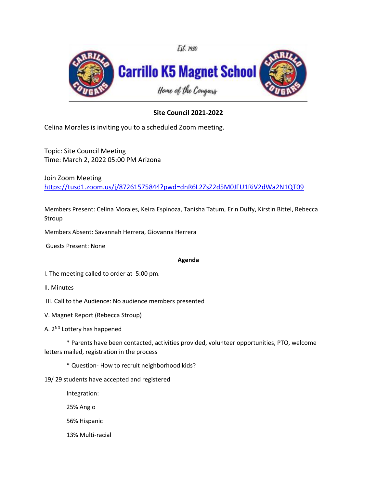

## **Site Council 2021-2022**

Celina Morales is inviting you to a scheduled Zoom meeting.

Topic: Site Council Meeting Time: March 2, 2022 05:00 PM Arizona

Join Zoom Meeting [https://tusd1.zoom.us/j/87261575844?pwd=dnR6L2ZsZ2d5M0JFU1RiV2dWa2N1QT09](https://nam04.safelinks.protection.outlook.com/?url=https%3A%2F%2Ftusd1.zoom.us%2Fj%2F87261575844%3Fpwd%3DdnR6L2ZsZ2d5M0JFU1RiV2dWa2N1QT09&data=02%7C01%7CCelina.Morales%40tusd1.org%7C8f214f6e08f841bad38708d859b92891%7Cbc7050e04bcc48099245ea8b65084865%7C0%7C0%7C637357999078969867&sdata=OTgDvfsTA3TFfc%2Baph8lfjZBfhkofjXn%2FU73YQ0ZaOI%3D&reserved=0)

Members Present: Celina Morales, Keira Espinoza, Tanisha Tatum, Erin Duffy, Kirstin Bittel, Rebecca Stroup

Members Absent: Savannah Herrera, Giovanna Herrera

Guests Present: None

## **Agenda**

I. The meeting called to order at 5:00 pm.

- II. Minutes
- III. Call to the Audience: No audience members presented
- V. Magnet Report (Rebecca Stroup)
- A. 2<sup>ND</sup> Lottery has happened

\* Parents have been contacted, activities provided, volunteer opportunities, PTO, welcome letters mailed, registration in the process

\* Question- How to recruit neighborhood kids?

- 19/ 29 students have accepted and registered
	- Integration: 25% Anglo
	- 56% Hispanic
	- 13% Multi-racial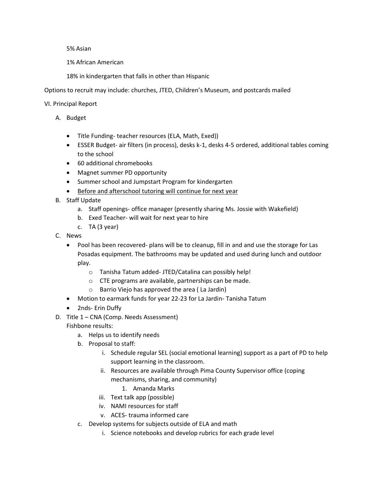5% Asian

1% African American

18% in kindergarten that falls in other than Hispanic

Options to recruit may include: churches, JTED, Children's Museum, and postcards mailed

VI. Principal Report

- A. Budget
	- Title Funding- teacher resources (ELA, Math, Exed))
	- ESSER Budget- air filters (in process), desks k-1, desks 4-5 ordered, additional tables coming to the school
	- 60 additional chromebooks
	- Magnet summer PD opportunity
	- Summer school and Jumpstart Program for kindergarten
	- Before and afterschool tutoring will continue for next year
- B. Staff Update
	- a. Staff openings- office manager (presently sharing Ms. Jossie with Wakefield)
	- b. Exed Teacher- will wait for next year to hire
	- c. TA (3 year)
- C. News
	- Pool has been recovered- plans will be to cleanup, fill in and and use the storage for Las Posadas equipment. The bathrooms may be updated and used during lunch and outdoor play.
		- o Tanisha Tatum added- JTED/Catalina can possibly help!
		- o CTE programs are available, partnerships can be made.
		- o Barrio Viejo has approved the area ( La Jardin)
	- Motion to earmark funds for year 22-23 for La Jardin- Tanisha Tatum
	- 2nds- Erin Duffy
- D. Title 1 CNA (Comp. Needs Assessment)

Fishbone results:

- a. Helps us to identify needs
- b. Proposal to staff:
	- i. Schedule regular SEL (social emotional learning) support as a part of PD to help support learning in the classroom.
	- ii. Resources are available through Pima County Supervisor office (coping mechanisms, sharing, and community)
		- 1. Amanda Marks
	- iii. Text talk app (possible)
	- iv. NAMI resources for staff
	- v. ACES- trauma informed care
- c. Develop systems for subjects outside of ELA and math
	- i. Science notebooks and develop rubrics for each grade level